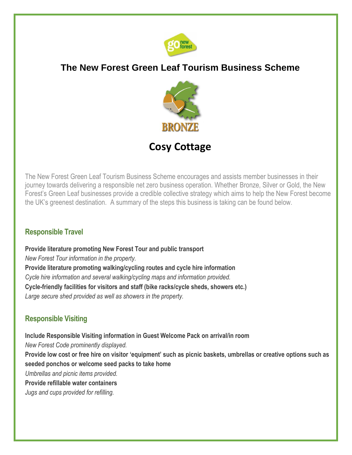

# **The New Forest Green Leaf Tourism Business Scheme**



**Cosy Cottage**

The New Forest Green Leaf Tourism Business Scheme encourages and assists member businesses in their journey towards delivering a responsible net zero business operation. Whether Bronze, Silver or Gold, the New Forest's Green Leaf businesses provide a credible collective strategy which aims to help the New Forest become the UK's greenest destination. A summary of the steps this business is taking can be found below.

#### **Responsible Travel**

**Provide literature promoting New Forest Tour and public transport** *New Forest Tour information in the property.* **Provide literature promoting walking/cycling routes and cycle hire information**  *Cycle hire information and several walking/cycling maps and information provided.* **Cycle-friendly facilities for visitors and staff (bike racks/cycle sheds, showers etc.)**  *Large secure shed provided as well as showers in the property.*

## **Responsible Visiting**

**Include Responsible Visiting information in Guest Welcome Pack on arrival/in room** *New Forest Code prominently displayed.* **Provide low cost or free hire on visitor 'equipment' such as picnic baskets, umbrellas or creative options such as seeded ponchos or welcome seed packs to take home**  *Umbrellas and picnic items provided.* **Provide refillable water containers**

*Jugs and cups provided for refilling.*